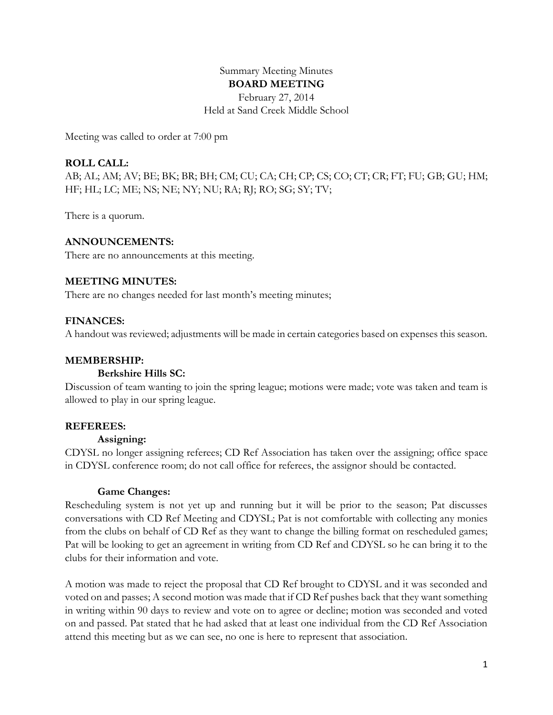# Summary Meeting Minutes **BOARD MEETING**

February 27, 2014 Held at Sand Creek Middle School

Meeting was called to order at 7:00 pm

## **ROLL CALL:**

AB; AL; AM; AV; BE; BK; BR; BH; CM; CU; CA; CH; CP; CS; CO; CT; CR; FT; FU; GB; GU; HM; HF; HL; LC; ME; NS; NE; NY; NU; RA; RJ; RO; SG; SY; TV;

There is a quorum.

## **ANNOUNCEMENTS:**

There are no announcements at this meeting.

## **MEETING MINUTES:**

There are no changes needed for last month's meeting minutes;

## **FINANCES:**

A handout was reviewed; adjustments will be made in certain categories based on expenses this season.

#### **MEMBERSHIP:**

#### **Berkshire Hills SC:**

Discussion of team wanting to join the spring league; motions were made; vote was taken and team is allowed to play in our spring league.

#### **REFEREES:**

#### **Assigning:**

CDYSL no longer assigning referees; CD Ref Association has taken over the assigning; office space in CDYSL conference room; do not call office for referees, the assignor should be contacted.

#### **Game Changes:**

Rescheduling system is not yet up and running but it will be prior to the season; Pat discusses conversations with CD Ref Meeting and CDYSL; Pat is not comfortable with collecting any monies from the clubs on behalf of CD Ref as they want to change the billing format on rescheduled games; Pat will be looking to get an agreement in writing from CD Ref and CDYSL so he can bring it to the clubs for their information and vote.

A motion was made to reject the proposal that CD Ref brought to CDYSL and it was seconded and voted on and passes; A second motion was made that if CD Ref pushes back that they want something in writing within 90 days to review and vote on to agree or decline; motion was seconded and voted on and passed. Pat stated that he had asked that at least one individual from the CD Ref Association attend this meeting but as we can see, no one is here to represent that association.